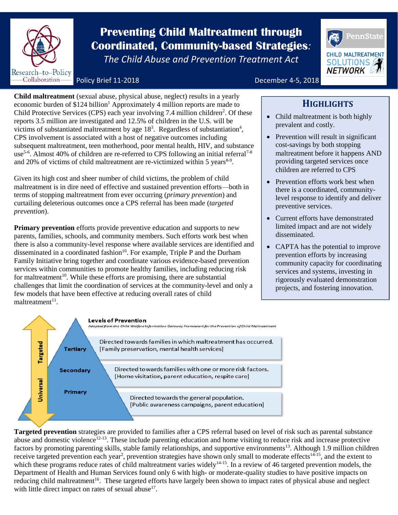

# **Prevention Coordinated, Community-based Strategies**<br>The Child Abuse and Prevention Treatment Act **Preventing Child Maltreatment through**

*The Child Abuse and Prevention Treatment Act*



Policy Brief 11-2018 **December 4-5, 2018** 

**Child maltreatment** (sexual abuse, physical abuse, neglect) results in a yearly economic burden of \$124 billion<sup>1</sup> Approximately 4 million reports are made to Child Protective Services (CPS) each year involving  $7.4$  million children<sup>2</sup>. Of these reports 3.5 million are investigated and 12.5% of children in the U.S. will be victims of substantiated maltreatment by age  $18<sup>3</sup>$ . Regardless of substantiation<sup>4</sup>, CPS involvement is associated with a host of negative outcomes including subsequent maltreatment, teen motherhood, poor mental health, HIV, and substance use<sup>5-6</sup>. Almost 40% of children are re-referred to CPS following an initial referral<sup>7-8</sup> and 20% of victims of child maltreatment are re-victimized within 5 years<sup>8-9</sup>.

Given its high cost and sheer number of child victims, the problem of child maltreatment is in dire need of effective and sustained prevention efforts—both in terms of stopping maltreatment from ever occurring (*primary prevention*) and curtailing deleterious outcomes once a CPS referral has been made (*targeted prevention*).

**Primary prevention** efforts provide preventive education and supports to new parents, families, schools, and community members. Such efforts work best when there is also a community-level response where available services are identified and disseminated in a coordinated fashion<sup>10</sup>. For example, Triple P and the Durham Family Initiative bring together and coordinate various evidence-based prevention services within communities to promote healthy families, including reducing risk for maltreatment<sup>10</sup>. While these efforts are promising, there are substantial challenges that limit the coordination of services at the community-level and only a few models that have been effective at reducing overall rates of child maltreatment<sup>11</sup>.

## **HIGHLIGHTS**

- Child maltreatment is both highly prevalent and costly.
- Prevention will result in significant cost-savings by both stopping maltreatment before it happens AND providing targeted services once children are referred to CPS
- Prevention efforts work best when there is a coordinated, communitylevel response to identify and deliver preventive services.
- Current efforts have demonstrated limited impact and are not widely disseminated.
- CAPTA has the potential to improve prevention efforts by increasing community capacity for coordinating services and systems, investing in rigorously evaluated demonstration projects, and fostering innovation.



**Targeted prevention** strategies are provided to families after a CPS referral based on level of risk such as parental substance abuse and domestic violence<sup>12-13</sup>. These include parenting education and home visiting to reduce risk and increase protective factors by promoting parenting skills, stable family relationships, and supportive environments<sup>13</sup>. Although 1.9 million children receive targeted prevention each year<sup>2</sup>, prevention strategies have shown only small to moderate effects<sup>14-15</sup>, and the extent to which these programs reduce rates of child maltreatment varies widely $14-15$ . In a review of 46 targeted prevention models, the Department of Health and Human Services found only 6 with high- or moderate-quality studies to have positive impacts on reducing child maltreatment<sup>16</sup>. These targeted efforts have largely been shown to impact rates of physical abuse and neglect with little direct impact on rates of sexual abuse $17$ .